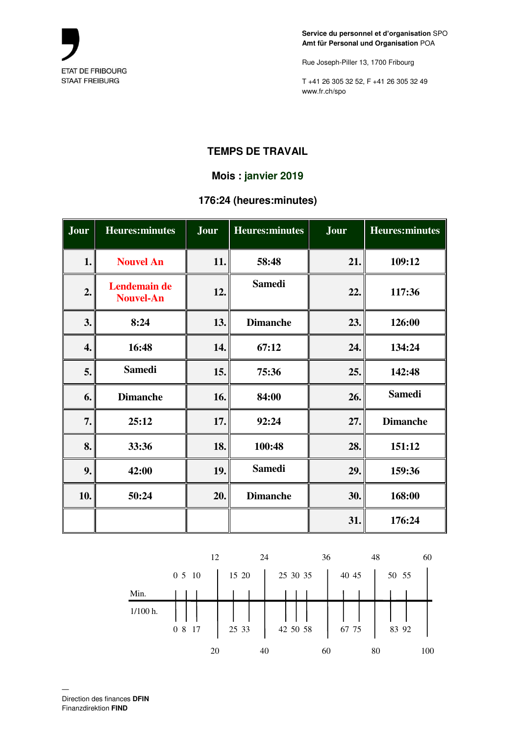

Rue Joseph-Piller 13, 1700 Fribourg

T +41 26 305 32 52, F +41 26 305 32 49 www.fr.ch/spo

## **TEMPS DE TRAVAIL**

## **Mois : janvier 2019**

## **176:24 (heures:minutes)**

| Jour | <b>Heures:minutes</b>            | Jour | <b>Heures:minutes</b> | Jour | <b>Heures:minutes</b> |
|------|----------------------------------|------|-----------------------|------|-----------------------|
| 1.   | <b>Nouvel An</b>                 | 11.  | 58:48                 | 21.  | 109:12                |
| 2.   | Lendemain de<br><b>Nouvel-An</b> | 12.  | <b>Samedi</b>         | 22.  | 117:36                |
| 3.   | 8:24                             | 13.  | <b>Dimanche</b>       | 23.  | 126:00                |
| 4.   | 16:48                            | 14.  | 67:12                 | 24.  | 134:24                |
| 5.   | <b>Samedi</b>                    | 15.  | 75:36                 | 25.  | 142:48                |
| 6.   | <b>Dimanche</b>                  | 16.  | 84:00                 | 26.  | <b>Samedi</b>         |
| 7.   | 25:12                            | 17.  | 92:24                 | 27.  | <b>Dimanche</b>       |
| 8.   | 33:36                            | 18.  | 100:48                | 28.  | 151:12                |
| 9.   | 42:00                            | 19.  | <b>Samedi</b>         | 29.  | 159:36                |
| 10.  | 50:24                            | 20.  | <b>Dimanche</b>       | 30.  | 168:00                |
|      |                                  |      |                       | 31.  | 176:24                |

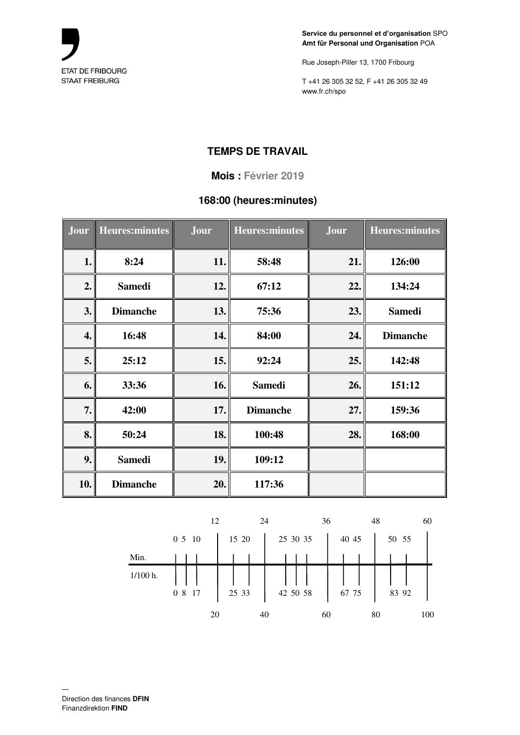

Rue Joseph-Piller 13, 1700 Fribourg

T +41 26 305 32 52, F +41 26 305 32 49 www.fr.ch/spo

## **TEMPS DE TRAVAIL**

#### **Mois : Février 2019**

## **168:00 (heures:minutes)**

| Jour | <b>Heures:minutes</b> | Jour | <b>Heures:minutes</b> | Jour | <b>Heures:minutes</b> |
|------|-----------------------|------|-----------------------|------|-----------------------|
| 1.   | 8:24                  | 11.  | 58:48                 | 21.  | 126:00                |
| 2.   | <b>Samedi</b>         | 12.  | 67:12                 | 22.  | 134:24                |
| 3.   | <b>Dimanche</b>       | 13.  | 75:36                 | 23.  | <b>Samedi</b>         |
| 4.   | 16:48                 | 14.  | 84:00                 | 24.  | <b>Dimanche</b>       |
| 5.   | 25:12                 | 15.  | 92:24                 | 25.  | 142:48                |
| 6.   | 33:36                 | 16.  | <b>Samedi</b>         | 26.  | 151:12                |
| 7.   | 42:00                 | 17.  | <b>Dimanche</b>       | 27.  | 159:36                |
| 8.   | 50:24                 | 18.  | 100:48                | 28.  | 168:00                |
| 9.   | <b>Samedi</b>         | 19.  | 109:12                |      |                       |
| 10.  | <b>Dimanche</b>       | 20.  | 117:36                |      |                       |

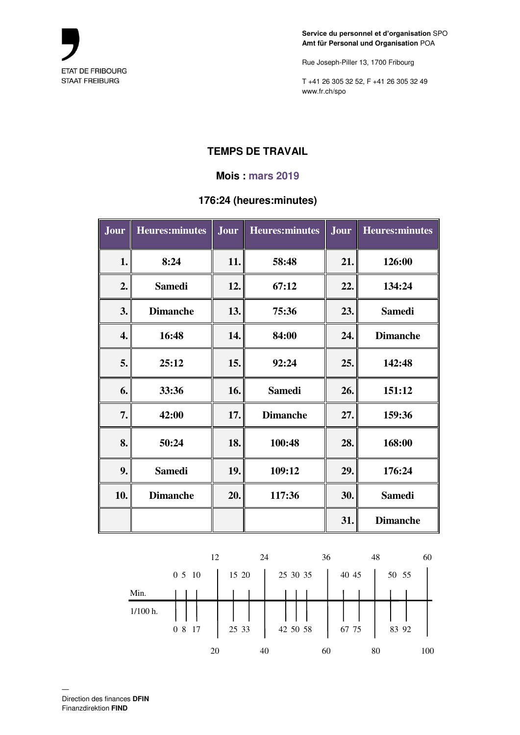

Rue Joseph-Piller 13, 1700 Fribourg

T +41 26 305 32 52, F +41 26 305 32 49 www.fr.ch/spo

# **TEMPS DE TRAVAIL**

### **Mois : mars 2019**

## **176:24 (heures:minutes)**

| Jour | <b>Heures:minutes</b> | Jour | <b>Heures:minutes</b> | Jour | <b>Heures:minutes</b> |
|------|-----------------------|------|-----------------------|------|-----------------------|
| 1.   | 8:24                  | 11.  | 58:48                 | 21.  | 126:00                |
| 2.   | <b>Samedi</b>         | 12.  | 67:12                 | 22.  | 134:24                |
| 3.   | <b>Dimanche</b>       | 13.  | 75:36                 | 23.  | <b>Samedi</b>         |
| 4.   | 16:48                 | 14.  | 84:00                 | 24.  | <b>Dimanche</b>       |
| 5.   | 25:12                 | 15.  | 92:24                 | 25.  | 142:48                |
| 6.   | 33:36                 | 16.  | <b>Samedi</b>         | 26.  | 151:12                |
| 7.   | 42:00                 | 17.  | <b>Dimanche</b>       | 27.  | 159:36                |
| 8.   | 50:24                 | 18.  | 100:48                | 28.  | 168:00                |
| 9.   | <b>Samedi</b>         | 19.  | 109:12                | 29.  | 176:24                |
| 10.  | <b>Dimanche</b>       | 20.  | 117:36                | 30.  | <b>Samedi</b>         |
|      |                       |      |                       | 31.  | <b>Dimanche</b>       |

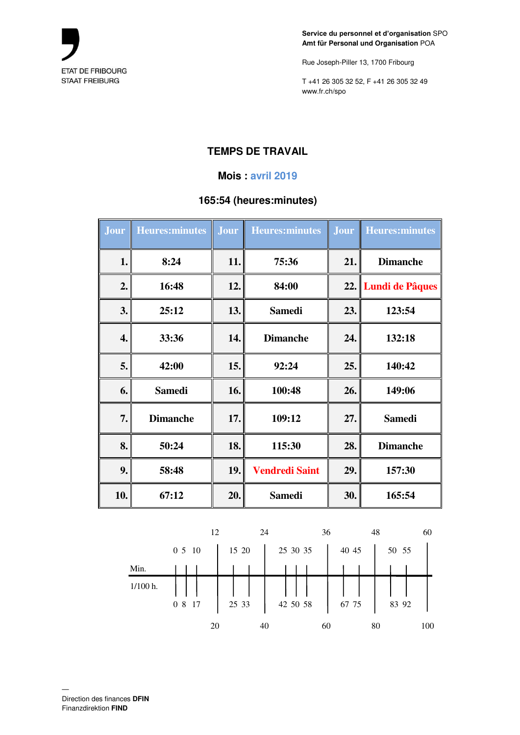

Rue Joseph-Piller 13, 1700 Fribourg

T +41 26 305 32 52, F +41 26 305 32 49 www.fr.ch/spo

# **TEMPS DE TRAVAIL**

### **Mois : avril 2019**

## **165:54 (heures:minutes)**

| Jour | <b>Heures:minutes</b> | Jour | <b>Heures:minutes</b> |     | <b>Jour</b> Heures: minutes |
|------|-----------------------|------|-----------------------|-----|-----------------------------|
| 1.   | 8:24                  | 11.  | 75:36                 | 21. | <b>Dimanche</b>             |
| 2.   | 16:48                 | 12.  | 84:00                 |     | 22. Lundi de Pâques         |
| 3.   | 25:12                 | 13.  | <b>Samedi</b>         | 23. | 123:54                      |
| 4.   | 33:36                 | 14.  | <b>Dimanche</b>       | 24. | 132:18                      |
| 5.   | 42:00                 | 15.  | 92:24                 | 25. | 140:42                      |
| 6.   | <b>Samedi</b>         | 16.  | 100:48                | 26. | 149:06                      |
| 7.   | <b>Dimanche</b>       | 17.  | 109:12                | 27. | <b>Samedi</b>               |
| 8.   | 50:24                 | 18.  | 115:30                | 28. | <b>Dimanche</b>             |
| 9.   | 58:48                 | 19.  | <b>Vendredi Saint</b> | 29. | 157:30                      |
| 10.  | 67:12                 | 20.  | <b>Samedi</b>         | 30. | 165:54                      |

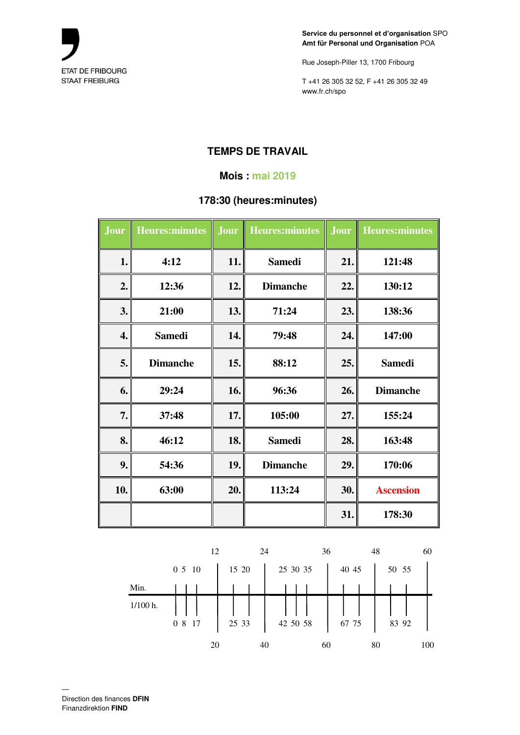

Rue Joseph-Piller 13, 1700 Fribourg

T +41 26 305 32 52, F +41 26 305 32 49 www.fr.ch/spo

# **TEMPS DE TRAVAIL**

### **Mois : mai 2019**

## **178:30 (heures:minutes)**

| <b>Jour</b> | <b>Heures:minutes</b> | Jour | <b>Heures:minutes</b> | Jour | <b>Heures:minutes</b> |
|-------------|-----------------------|------|-----------------------|------|-----------------------|
| 1.          | 4:12                  | 11.  | <b>Samedi</b>         | 21.  | 121:48                |
| 2.          | 12:36                 | 12.  | <b>Dimanche</b>       | 22.  | 130:12                |
| 3.          | 21:00                 | 13.  | 71:24                 | 23.  | 138:36                |
| 4.          | <b>Samedi</b>         | 14.  | 79:48                 | 24.  | 147:00                |
| 5.          | <b>Dimanche</b>       | 15.  | 88:12                 | 25.  | <b>Samedi</b>         |
| 6.          | 29:24                 | 16.  | 96:36                 | 26.  | <b>Dimanche</b>       |
| 7.          | 37:48                 | 17.  | 105:00                | 27.  | 155:24                |
| 8.          | 46:12                 | 18.  | <b>Samedi</b>         | 28.  | 163:48                |
| 9.          | 54:36                 | 19.  | <b>Dimanche</b>       | 29.  | 170:06                |
| 10.         | 63:00                 | 20.  | 113:24                | 30.  | <b>Ascension</b>      |
|             |                       |      |                       | 31.  | 178:30                |

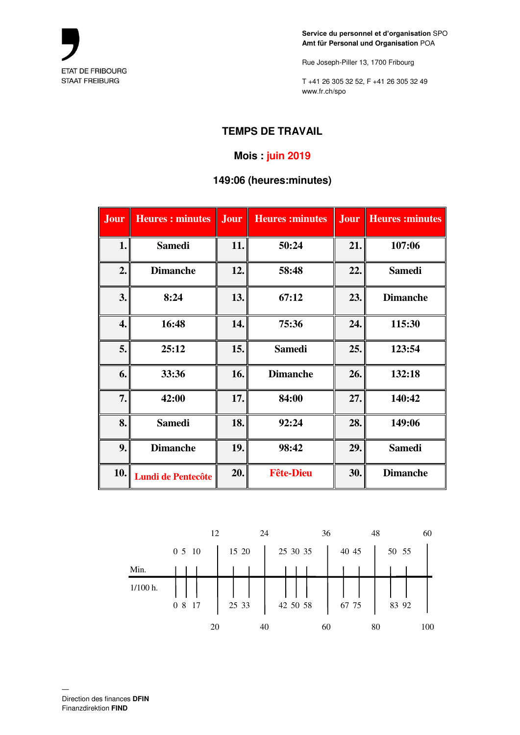

Rue Joseph-Piller 13, 1700 Fribourg

T +41 26 305 32 52, F +41 26 305 32 49 www.fr.ch/spo

# **TEMPS DE TRAVAIL**

# **Mois : juin 2019**

### **149:06 (heures:minutes)**

| Jour | <b>Heures: minutes</b>    | Jour | <b>Heures:minutes</b> | Jour | <b>Heures:minutes</b> |
|------|---------------------------|------|-----------------------|------|-----------------------|
| 1.   | <b>Samedi</b>             | 11.  | 50:24                 | 21.  | 107:06                |
| 2.   | <b>Dimanche</b>           | 12.  | 58:48                 | 22.  | <b>Samedi</b>         |
| 3.   | 8:24                      | 13.  | 67:12                 | 23.  | <b>Dimanche</b>       |
| 4.   | 16:48                     | 14.  | 75:36                 | 24.  | 115:30                |
| 5.   | 25:12                     | 15.  | <b>Samedi</b>         | 25.  | 123:54                |
| 6.   | 33:36                     | 16.  | <b>Dimanche</b>       | 26.  | 132:18                |
| 7.   | 42:00                     | 17.  | 84:00                 | 27.  | 140:42                |
| 8.   | <b>Samedi</b>             | 18.  | 92:24                 | 28.  | 149:06                |
| 9.   | <b>Dimanche</b>           | 19.  | 98:42                 | 29.  | <b>Samedi</b>         |
| 10.  | <b>Lundi de Pentecôte</b> | 20.  | <b>Fête-Dieu</b>      | 30.  | <b>Dimanche</b>       |

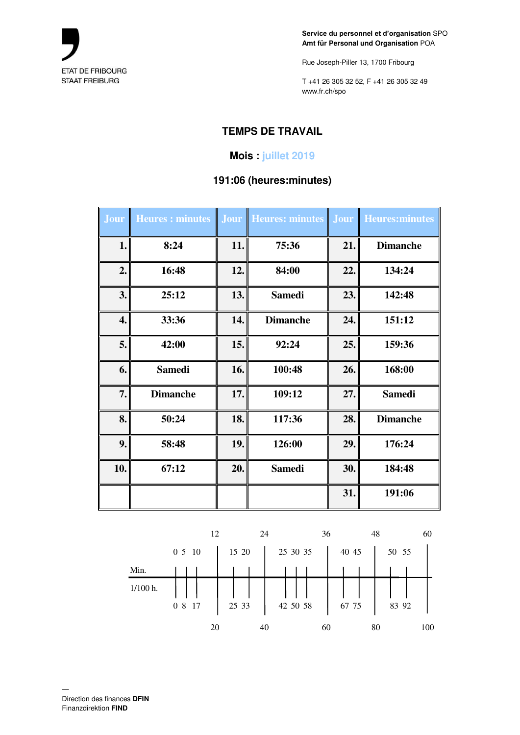

Rue Joseph-Piller 13, 1700 Fribourg

T +41 26 305 32 52, F +41 26 305 32 49 www.fr.ch/spo

# **TEMPS DE TRAVAIL**

## **Mois : juillet 2019**

### **191:06 (heures:minutes)**

| <b>Jour</b> | <b>Heures: minutes</b> | Jour | Heures: minutes | <b>Jour</b> | <b>Heures:minutes</b> |
|-------------|------------------------|------|-----------------|-------------|-----------------------|
| 1.          | 8:24                   | 11.  | 75:36           | 21.         | <b>Dimanche</b>       |
| 2.          | 16:48                  | 12.  | 84:00           | 22.         | 134:24                |
| 3.          | 25:12                  | 13.  | <b>Samedi</b>   | 23.         | 142:48                |
| 4.          | 33:36                  | 14.  | <b>Dimanche</b> | 24.         | 151:12                |
| 5.          | 42:00                  | 15.  | 92:24           | 25.         | 159:36                |
| 6.          | <b>Samedi</b>          | 16.  | 100:48          | 26.         | 168:00                |
| 7.          | <b>Dimanche</b>        | 17.  | 109:12          | 27.         | <b>Samedi</b>         |
| 8.          | 50:24                  | 18.  | 117:36          | 28.         | <b>Dimanche</b>       |
| 9.          | 58:48                  | 19.  | 126:00          | 29.         | 176:24                |
| 10.         | 67:12                  | 20.  | <b>Samedi</b>   | 30.         | 184:48                |
|             |                        |      |                 | 31.         | 191:06                |

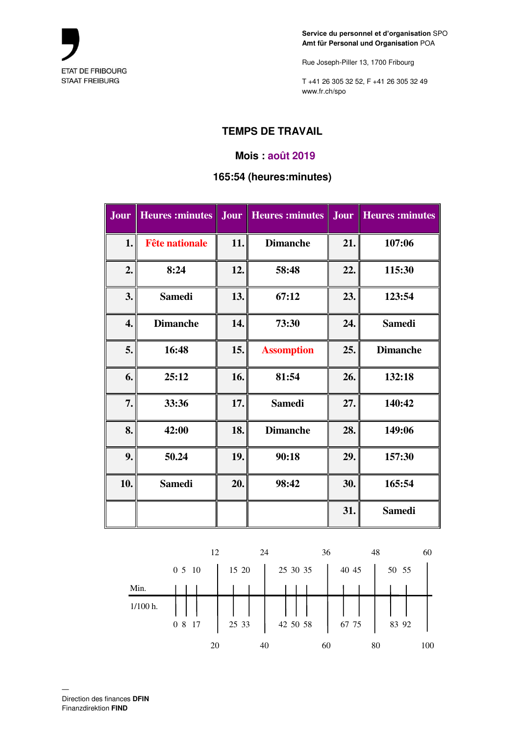

Rue Joseph-Piller 13, 1700 Fribourg

T +41 26 305 32 52, F +41 26 305 32 49 www.fr.ch/spo

# **TEMPS DE TRAVAIL**

#### **Mois : août 2019**

### **165:54 (heures:minutes)**

| Jour | <b>Heures</b> : minutes | Jour | <b>Heures:minutes</b> | Jour | <b>Heures</b> : minutes |
|------|-------------------------|------|-----------------------|------|-------------------------|
| 1.   | <b>Fête nationale</b>   | 11.  | <b>Dimanche</b>       | 21.  | 107:06                  |
| 2.   | 8:24                    | 12.  | 58:48                 | 22.  | 115:30                  |
| 3.   | <b>Samedi</b>           | 13.  | 67:12                 | 23.  | 123:54                  |
| 4.   | <b>Dimanche</b>         | 14.  | 73:30                 | 24.  | <b>Samedi</b>           |
| 5.   | 16:48                   | 15.  | <b>Assomption</b>     | 25.  | <b>Dimanche</b>         |
| 6.   | 25:12                   | 16.  | 81:54                 | 26.  | 132:18                  |
| 7.   | 33:36                   | 17.  | <b>Samedi</b>         | 27.  | 140:42                  |
| 8.   | 42:00                   | 18.  | <b>Dimanche</b>       | 28.  | 149:06                  |
| 9.   | 50.24                   | 19.  | 90:18                 | 29.  | 157:30                  |
| 10.  | <b>Samedi</b>           | 20.  | 98:42                 | 30.  | 165:54                  |
|      |                         |      |                       | 31.  | <b>Samedi</b>           |

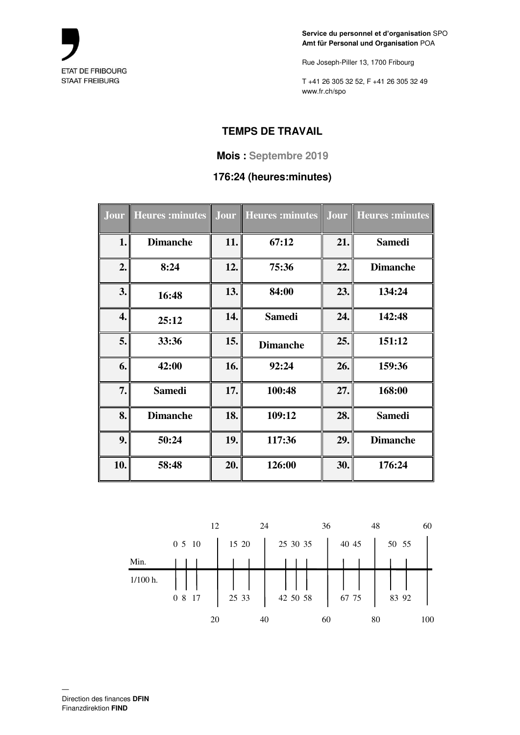

Rue Joseph-Piller 13, 1700 Fribourg

T +41 26 305 32 52, F +41 26 305 32 49 www.fr.ch/spo

# **TEMPS DE TRAVAIL**

### **Mois : Septembre 2019**

## **176:24 (heures:minutes)**

| Jour             | <b>Heures: minutes</b> | Jour | Heures: minutes | Jour | <b>Heures</b> : minutes |
|------------------|------------------------|------|-----------------|------|-------------------------|
| 1.               | <b>Dimanche</b>        | 11.  | 67:12           | 21.  | <b>Samedi</b>           |
| 2.               | 8:24                   | 12.  | 75:36           | 22.  | <b>Dimanche</b>         |
| 3.               | 16:48                  | 13.  | 84:00           | 23.  | 134:24                  |
| $\overline{4}$ . | 25:12                  | 14.  | <b>Samedi</b>   | 24.  | 142:48                  |
| 5.               | 33:36                  | 15.  | <b>Dimanche</b> | 25.  | 151:12                  |
| 6.               | 42:00                  | 16.  | 92:24           | 26.  | 159:36                  |
| 7.               | <b>Samedi</b>          | 17.  | 100:48          | 27.  | 168:00                  |
| 8.               | <b>Dimanche</b>        | 18.  | 109:12          | 28.  | <b>Samedi</b>           |
| 9.               | 50:24                  | 19.  | 117:36          | 29.  | <b>Dimanche</b>         |
| 10.              | 58:48                  | 20.  | 126:00          | 30.  | 176:24                  |

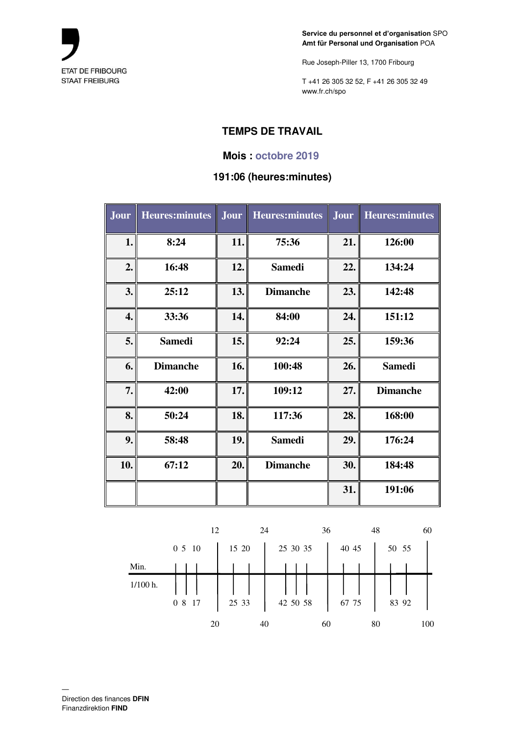

Rue Joseph-Piller 13, 1700 Fribourg

T +41 26 305 32 52, F +41 26 305 32 49 www.fr.ch/spo

# **TEMPS DE TRAVAIL**

#### **Mois : octobre 2019**

#### **191:06 (heures:minutes)**

| Jour | <b>Heures:minutes</b> | Jour | <b>Heures:minutes</b> | Jour | <b>Heures:minutes</b> |
|------|-----------------------|------|-----------------------|------|-----------------------|
| 1.   | 8:24                  | 11.  | 75:36                 | 21.  | 126:00                |
| 2.   | 16:48                 | 12.  | <b>Samedi</b>         | 22.  | 134:24                |
| 3.   | 25:12                 | 13.  | <b>Dimanche</b>       | 23.  | 142:48                |
| 4.   | 33:36                 | 14.  | 84:00                 | 24.  | 151:12                |
| 5.   | <b>Samedi</b>         | 15.  | 92:24                 | 25.  | 159:36                |
| 6.   | <b>Dimanche</b>       | 16.  | 100:48                | 26.  | <b>Samedi</b>         |
| 7.   | 42:00                 | 17.  | 109:12                | 27.  | <b>Dimanche</b>       |
| 8.   | 50:24                 | 18.  | 117:36                | 28.  | 168:00                |
| 9.   | 58:48                 | 19.  | <b>Samedi</b>         | 29.  | 176:24                |
| 10.  | 67:12                 | 20.  | <b>Dimanche</b>       | 30.  | 184:48                |
|      |                       |      |                       | 31.  | 191:06                |

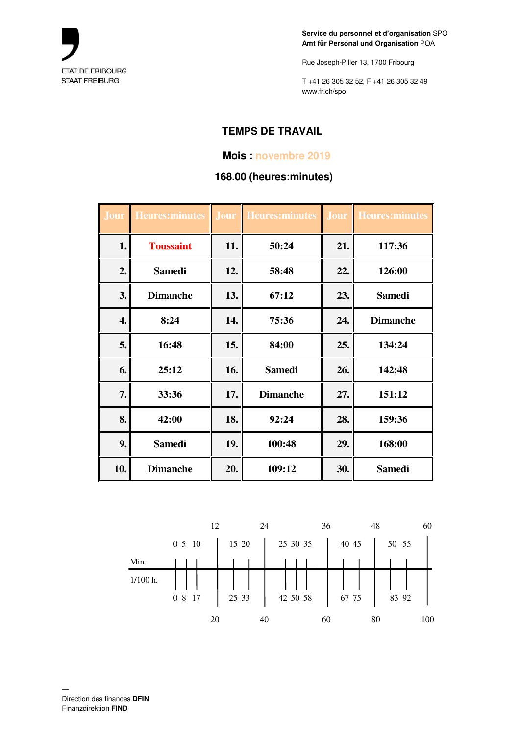

Rue Joseph-Piller 13, 1700 Fribourg

T +41 26 305 32 52, F +41 26 305 32 49 www.fr.ch/spo

# **TEMPS DE TRAVAIL**

### **Mois : novembre 2019**

### **168.00 (heures:minutes)**

| <b>Jour</b> | Heures: minutes  | Jour | <b>Heures:minutes</b> | <b>Jour</b> | <b>Heures:minutes</b> |
|-------------|------------------|------|-----------------------|-------------|-----------------------|
| 1.          | <b>Toussaint</b> | 11.  | 50:24                 | 21.         | 117:36                |
| 2.          | <b>Samedi</b>    | 12.  | 58:48                 | 22.         | 126:00                |
| 3.          | <b>Dimanche</b>  | 13.  | 67:12                 | 23.         | <b>Samedi</b>         |
| 4.          | 8:24             | 14.  | 75:36                 | 24.         | <b>Dimanche</b>       |
| 5.          | 16:48            | 15.  | 84:00                 | 25.         | 134:24                |
| 6.          | 25:12            | 16.  | <b>Samedi</b>         | 26.         | 142:48                |
| 7.          | 33:36            | 17.  | <b>Dimanche</b>       | 27.         | 151:12                |
| 8.          | 42:00            | 18.  | 92:24                 | 28.         | 159:36                |
| 9.          | <b>Samedi</b>    | 19.  | 100:48                | 29.         | 168:00                |
| 10.         | <b>Dimanche</b>  | 20.  | 109:12                | 30.         | <b>Samedi</b>         |